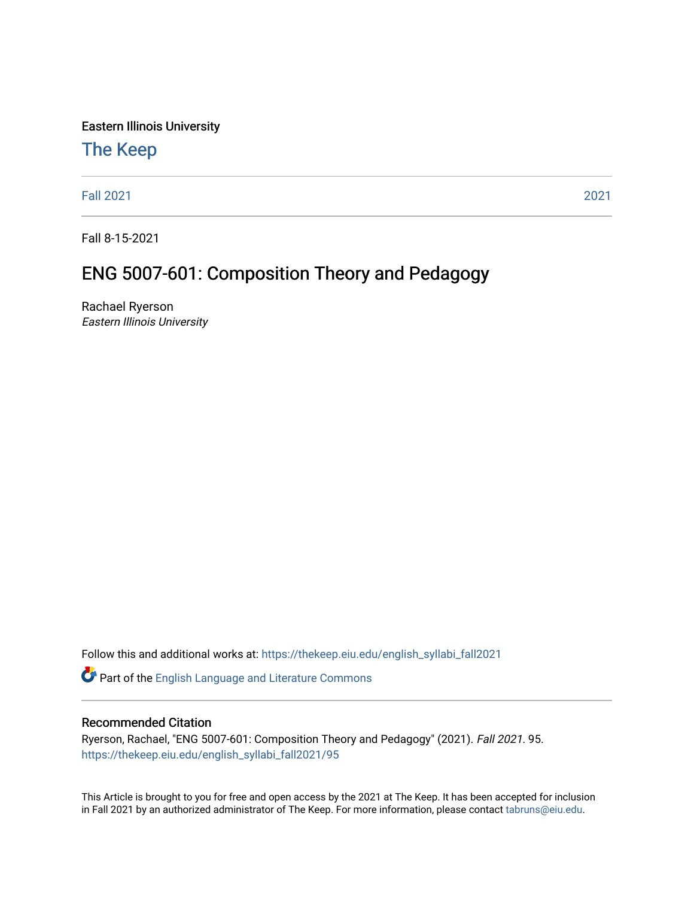Eastern Illinois University

#### [The Keep](https://thekeep.eiu.edu/)

[Fall 2021](https://thekeep.eiu.edu/english_syllabi_fall2021) [2021](https://thekeep.eiu.edu/english_syllabi2021) 

Fall 8-15-2021

#### ENG 5007-601: Composition Theory and Pedagogy

Rachael Ryerson Eastern Illinois University

Follow this and additional works at: [https://thekeep.eiu.edu/english\\_syllabi\\_fall2021](https://thekeep.eiu.edu/english_syllabi_fall2021?utm_source=thekeep.eiu.edu%2Fenglish_syllabi_fall2021%2F95&utm_medium=PDF&utm_campaign=PDFCoverPages) 

Part of the [English Language and Literature Commons](http://network.bepress.com/hgg/discipline/455?utm_source=thekeep.eiu.edu%2Fenglish_syllabi_fall2021%2F95&utm_medium=PDF&utm_campaign=PDFCoverPages)

#### Recommended Citation

Ryerson, Rachael, "ENG 5007-601: Composition Theory and Pedagogy" (2021). Fall 2021. 95. [https://thekeep.eiu.edu/english\\_syllabi\\_fall2021/95](https://thekeep.eiu.edu/english_syllabi_fall2021/95?utm_source=thekeep.eiu.edu%2Fenglish_syllabi_fall2021%2F95&utm_medium=PDF&utm_campaign=PDFCoverPages)

This Article is brought to you for free and open access by the 2021 at The Keep. It has been accepted for inclusion in Fall 2021 by an authorized administrator of The Keep. For more information, please contact [tabruns@eiu.edu](mailto:tabruns@eiu.edu).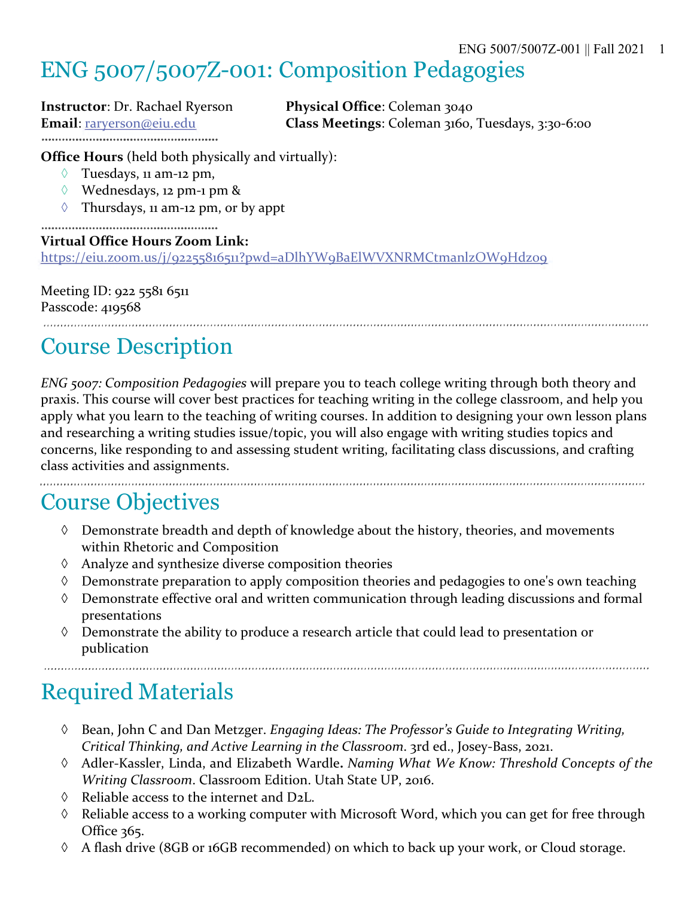## ENG 5007/5007Z-001: Composition Pedagogies

**Instructor**: Dr. Rachael Ryerson **Physical Office**: Coleman 3040 

**Email**: raryerson@eiu.edu **Class Meetings**: Coleman 3160, Tuesdays, 3:30-6:00

**Office Hours** (held both physically and virtually):

- $\Diamond$  Tuesdays, 11 am-12 pm,
- à Wednesdays, 12 pm-1 pm &
- $\Diamond$  Thursdays, 11 am-12 pm, or by appt

#### **Virtual Office Hours Zoom Link:**

https://eiu.zoom.us/j/92255816511?pwd=aDlhYW9BaElWVXNRMCtmanlzOW9Hdz09

Meeting ID: 922 5581 6511 Passcode: 419568

## Course Description

*ENG 5007: Composition Pedagogies* will prepare you to teach college writing through both theory and praxis. This course will cover best practices for teaching writing in the college classroom, and help you apply what you learn to the teaching of writing courses. In addition to designing your own lesson plans and researching a writing studies issue/topic, you will also engage with writing studies topics and concerns, like responding to and assessing student writing, facilitating class discussions, and crafting class activities and assignments.

### Course Objectives

- $\Diamond$  Demonstrate breadth and depth of knowledge about the history, theories, and movements within Rhetoric and Composition
- $\Diamond$  Analyze and synthesize diverse composition theories
- $\Diamond$  Demonstrate preparation to apply composition theories and pedagogies to one's own teaching
- à Demonstrate effective oral and written communication through leading discussions and formal presentations
- $\Diamond$  Demonstrate the ability to produce a research article that could lead to presentation or publication

# Required Materials

- à Bean, John C and Dan Metzger. *Engaging Ideas: The Professor's Guide to Integrating Writing, Critical Thinking, and Active Learning in the Classroom*. 3rd ed., Josey-Bass, 2021.
- à Adler-Kassler, Linda, and Elizabeth Wardle**.** *Naming What We Know: Threshold Concepts of the Writing Classroom*. Classroom Edition. Utah State UP, 2016.
- $\Diamond$  Reliable access to the internet and D2L.
- $\Diamond$  Reliable access to a working computer with Microsoft Word, which you can get for free through Office 365.
- à A flash drive (8GB or 16GB recommended) on which to back up your work, or Cloud storage.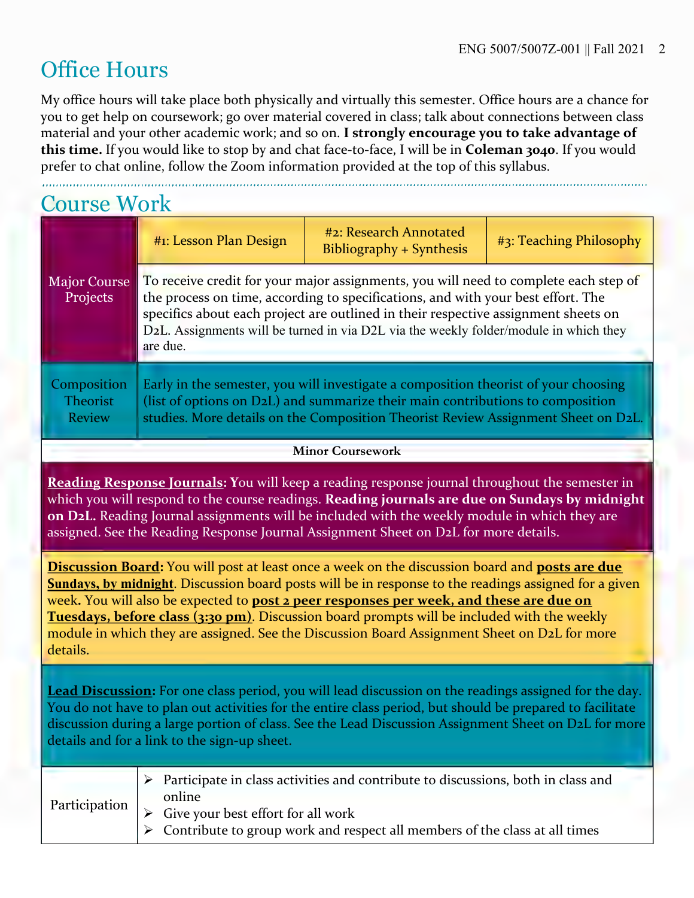### Office Hours

My office hours will take place both physically and virtually this semester. Office hours are a chance for you to get help on coursework; go over material covered in class; talk about connections between class material and your other academic work; and so on. **I strongly encourage you to take advantage of this time.** If you would like to stop by and chat face-to-face, I will be in **Coleman 3040**. If you would prefer to chat online, follow the Zoom information provided at the top of this syllabus.

| <b>Course Work</b>                       |                                                                                                                                                                                                                                                                                                                                                                     |                                                                                                                                                                                                                                                            |                         |  |  |
|------------------------------------------|---------------------------------------------------------------------------------------------------------------------------------------------------------------------------------------------------------------------------------------------------------------------------------------------------------------------------------------------------------------------|------------------------------------------------------------------------------------------------------------------------------------------------------------------------------------------------------------------------------------------------------------|-------------------------|--|--|
| <b>Major Course</b><br>Projects          | #1: Lesson Plan Design                                                                                                                                                                                                                                                                                                                                              | #2: Research Annotated<br>Bibliography + Synthesis                                                                                                                                                                                                         | #3: Teaching Philosophy |  |  |
|                                          | To receive credit for your major assignments, you will need to complete each step of<br>the process on time, according to specifications, and with your best effort. The<br>specifics about each project are outlined in their respective assignment sheets on<br>D2L. Assignments will be turned in via D2L via the weekly folder/module in which they<br>are due. |                                                                                                                                                                                                                                                            |                         |  |  |
| Composition<br>Theorist<br><b>Review</b> |                                                                                                                                                                                                                                                                                                                                                                     | Early in the semester, you will investigate a composition theorist of your choosing<br>(list of options on D2L) and summarize their main contributions to composition<br>studies. More details on the Composition Theorist Review Assignment Sheet on D2L. |                         |  |  |

#### **Minor Coursework**

**Reading Response Journals: Y**ou will keep a reading response journal throughout the semester in which you will respond to the course readings. **Reading journals are due on Sundays by midnight on D2L.** Reading Journal assignments will be included with the weekly module in which they are assigned. See the Reading Response Journal Assignment Sheet on D2L for more details.

**Discussion Board:** You will post at least once a week on the discussion board and **posts are due Sundays, by midnight**. Discussion board posts will be in response to the readings assigned for a given week**.** You will also be expected to **post 2 peer responses per week, and these are due on Tuesdays, before class (3:30 pm)**. Discussion board prompts will be included with the weekly module in which they are assigned. See the Discussion Board Assignment Sheet on D2L for more details.

**Lead Discussion:** For one class period, you will lead discussion on the readings assigned for the day. You do not have to plan out activities for the entire class period, but should be prepared to facilitate discussion during a large portion of class. See the Lead Discussion Assignment Sheet on D2L for more details and for a link to the sign-up sheet.

|  | $\triangleright$ Participate in class activities and contribute to discussions, both in class and<br>online                                                     |  |
|--|-----------------------------------------------------------------------------------------------------------------------------------------------------------------|--|
|  | Participation $\vert \rangle$ Give your best effort for all work<br>$\triangleright$ Contribute to group work and respect all members of the class at all times |  |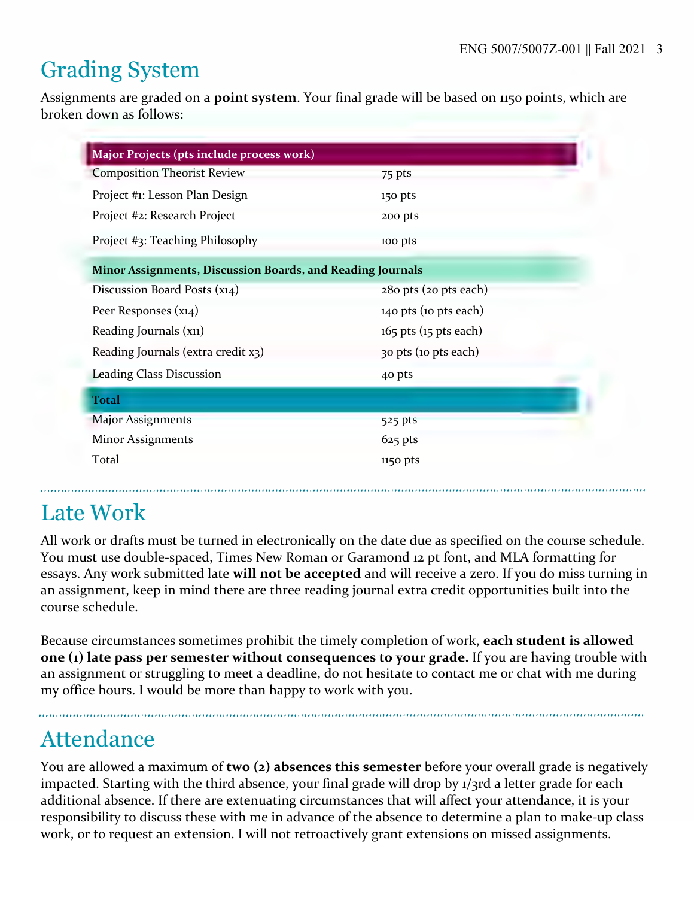# Grading System

Assignments are graded on a **point system**. Your final grade will be based on 1150 points, which are broken down as follows:

| Major Projects (pts include process work)                  |                           |
|------------------------------------------------------------|---------------------------|
| <b>Composition Theorist Review</b>                         | 75 pts                    |
| Project #1: Lesson Plan Design                             | 150 pts                   |
| Project #2: Research Project                               | 200 pts                   |
| Project #3: Teaching Philosophy                            | 100 pts                   |
| Minor Assignments, Discussion Boards, and Reading Journals |                           |
| Discussion Board Posts (x14)                               | 280 pts (20 pts each)     |
| Peer Responses (x14)                                       | 140 pts (10 pts each)     |
| Reading Journals (x11)                                     | $165$ pts $(15$ pts each) |
| Reading Journals (extra credit x3)                         | 30 pts (10 pts each)      |
| <b>Leading Class Discussion</b>                            | 40 pts                    |
| <b>Total</b>                                               |                           |
| <b>Major Assignments</b>                                   | 525 pts                   |
| <b>Minor Assignments</b>                                   | $625$ pts                 |
| Total                                                      | 1150 pts                  |

# Late Work

All work or drafts must be turned in electronically on the date due as specified on the course schedule. You must use double-spaced, Times New Roman or Garamond 12 pt font, and MLA formatting for essays. Any work submitted late **will not be accepted** and will receive a zero. If you do miss turning in an assignment, keep in mind there are three reading journal extra credit opportunities built into the course schedule.

Because circumstances sometimes prohibit the timely completion of work, **each student is allowed one (1) late pass per semester without consequences to your grade.** If you are having trouble with an assignment or struggling to meet a deadline, do not hesitate to contact me or chat with me during my office hours. I would be more than happy to work with you.

# Attendance

You are allowed a maximum of **two (2) absences this semester** before your overall grade is negatively impacted. Starting with the third absence, your final grade will drop by 1/3rd a letter grade for each additional absence. If there are extenuating circumstances that will affect your attendance, it is your responsibility to discuss these with me in advance of the absence to determine a plan to make-up class work, or to request an extension. I will not retroactively grant extensions on missed assignments.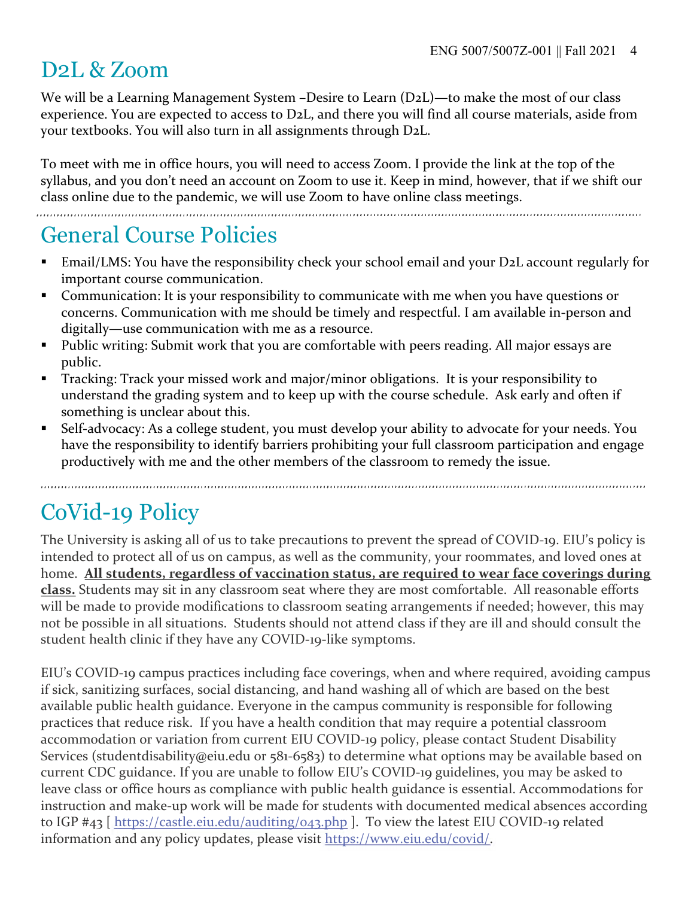### D2L & Zoom

We will be a Learning Management System –Desire to Learn (D2L)—to make the most of our class experience. You are expected to access to D2L, and there you will find all course materials, aside from your textbooks. You will also turn in all assignments through D2L.

To meet with me in office hours, you will need to access Zoom. I provide the link at the top of the syllabus, and you don't need an account on Zoom to use it. Keep in mind, however, that if we shift our class online due to the pandemic, we will use Zoom to have online class meetings.

### General Course Policies

- Email/LMS: You have the responsibility check your school email and your D2L account regularly for important course communication.
- Communication: It is your responsibility to communicate with me when you have questions or concerns. Communication with me should be timely and respectful. I am available in-person and digitally—use communication with me as a resource.
- Public writing: Submit work that you are comfortable with peers reading. All major essays are public.
- Tracking: Track your missed work and major/minor obligations. It is your responsibility to understand the grading system and to keep up with the course schedule. Ask early and often if something is unclear about this.
- Self-advocacy: As a college student, you must develop your ability to advocate for your needs. You have the responsibility to identify barriers prohibiting your full classroom participation and engage productively with me and the other members of the classroom to remedy the issue.

## CoVid-19 Policy

The University is asking all of us to take precautions to prevent the spread of COVID-19. EIU's policy is intended to protect all of us on campus, as well as the community, your roommates, and loved ones at home. **All students, regardless of vaccination status, are required to wear face coverings during class.** Students may sit in any classroom seat where they are most comfortable. All reasonable efforts will be made to provide modifications to classroom seating arrangements if needed; however, this may not be possible in all situations. Students should not attend class if they are ill and should consult the student health clinic if they have any COVID-19-like symptoms.

EIU's COVID-19 campus practices including face coverings, when and where required, avoiding campus if sick, sanitizing surfaces, social distancing, and hand washing all of which are based on the best available public health guidance. Everyone in the campus community is responsible for following practices that reduce risk. If you have a health condition that may require a potential classroom accommodation or variation from current EIU COVID-19 policy, please contact Student Disability Services (studentdisability@eiu.edu or 581-6583) to determine what options may be available based on current CDC guidance. If you are unable to follow EIU's COVID-19 guidelines, you may be asked to leave class or office hours as compliance with public health guidance is essential. Accommodations for instruction and make-up work will be made for students with documented medical absences according to IGP #43 [ https://castle.eiu.edu/auditing/043.php ]. To view the latest EIU COVID-19 related information and any policy updates, please visit https://www.eiu.edu/covid/.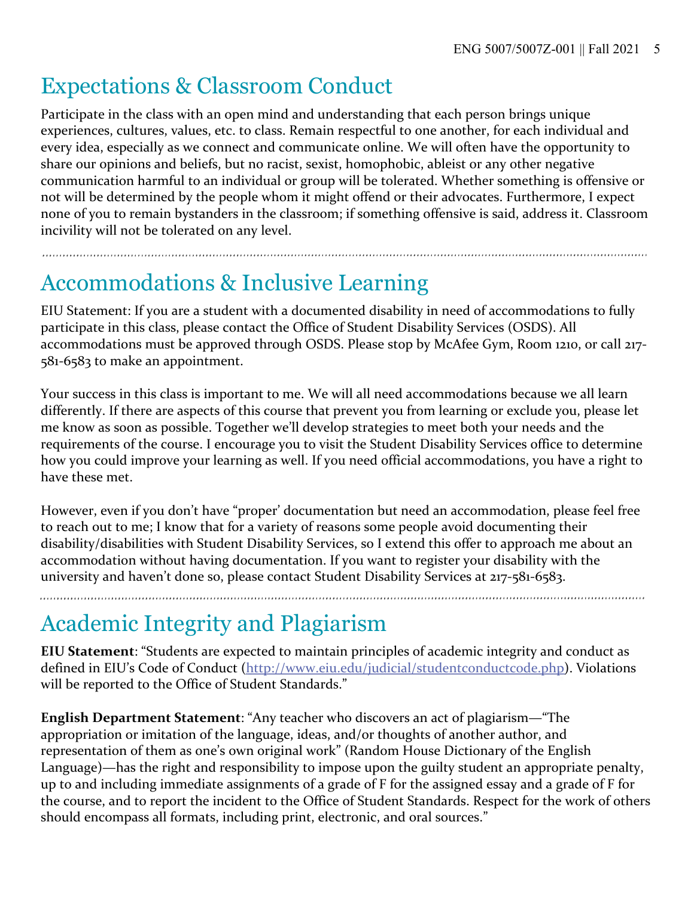### Expectations & Classroom Conduct

Participate in the class with an open mind and understanding that each person brings unique experiences, cultures, values, etc. to class. Remain respectful to one another, for each individual and every idea, especially as we connect and communicate online. We will often have the opportunity to share our opinions and beliefs, but no racist, sexist, homophobic, ableist or any other negative communication harmful to an individual or group will be tolerated. Whether something is offensive or not will be determined by the people whom it might offend or their advocates. Furthermore, I expect none of you to remain bystanders in the classroom; if something offensive is said, address it. Classroom incivility will not be tolerated on any level.

# Accommodations & Inclusive Learning

EIU Statement: If you are a student with a documented disability in need of accommodations to fully participate in this class, please contact the Office of Student Disability Services (OSDS). All accommodations must be approved through OSDS. Please stop by McAfee Gym, Room 1210, or call 217- 581-6583 to make an appointment.

Your success in this class is important to me. We will all need accommodations because we all learn differently. If there are aspects of this course that prevent you from learning or exclude you, please let me know as soon as possible. Together we'll develop strategies to meet both your needs and the requirements of the course. I encourage you to visit the Student Disability Services office to determine how you could improve your learning as well. If you need official accommodations, you have a right to have these met.

However, even if you don't have "proper' documentation but need an accommodation, please feel free to reach out to me; I know that for a variety of reasons some people avoid documenting their disability/disabilities with Student Disability Services, so I extend this offer to approach me about an accommodation without having documentation. If you want to register your disability with the university and haven't done so, please contact Student Disability Services at 217-581-6583.

# Academic Integrity and Plagiarism

**EIU Statement**: "Students are expected to maintain principles of academic integrity and conduct as defined in EIU's Code of Conduct (http://www.eiu.edu/judicial/studentconductcode.php). Violations will be reported to the Office of Student Standards."

**English Department Statement**: "Any teacher who discovers an act of plagiarism—"The appropriation or imitation of the language, ideas, and/or thoughts of another author, and representation of them as one's own original work" (Random House Dictionary of the English Language)—has the right and responsibility to impose upon the guilty student an appropriate penalty, up to and including immediate assignments of a grade of F for the assigned essay and a grade of F for the course, and to report the incident to the Office of Student Standards. Respect for the work of others should encompass all formats, including print, electronic, and oral sources."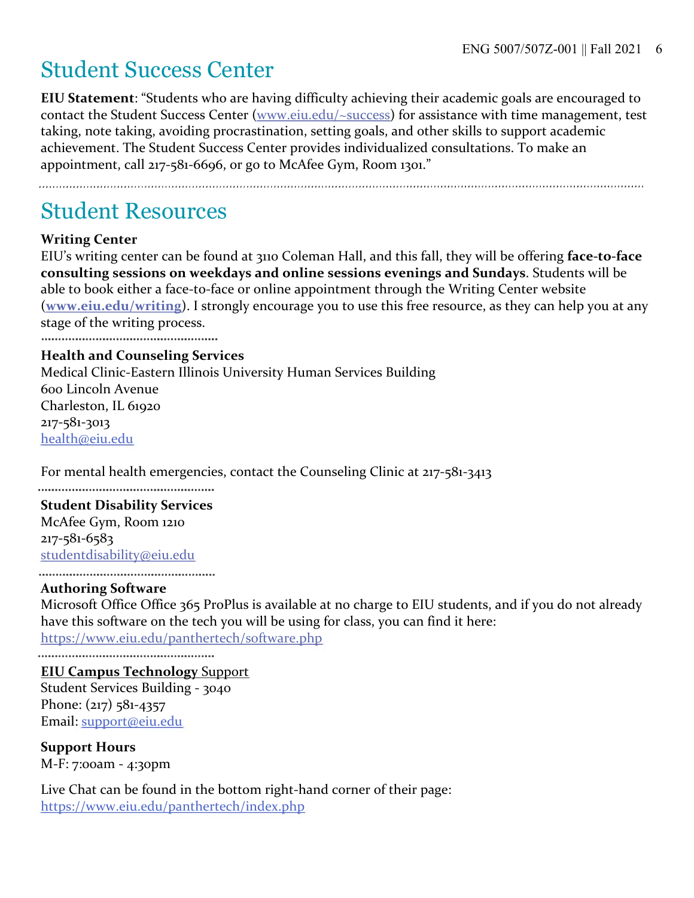## Student Success Center

**EIU Statement**: "Students who are having difficulty achieving their academic goals are encouraged to contact the Student Success Center (www.eiu.edu/~success) for assistance with time management, test taking, note taking, avoiding procrastination, setting goals, and other skills to support academic achievement. The Student Success Center provides individualized consultations. To make an appointment, call 217-581-6696, or go to McAfee Gym, Room 1301."

#### Student Resources

#### **Writing Center**

EIU's writing center can be found at 3110 Coleman Hall, and this fall, they will be offering **face-to-face consulting sessions on weekdays and online sessions evenings and Sundays**. Students will be able to book either a face-to-face or online appointment through the Writing Center website (**www.eiu.edu/writing**). I strongly encourage you to use this free resource, as they can help you at any stage of the writing process.

#### **Health and Counseling Services**

Medical Clinic-Eastern Illinois University Human Services Building 600 Lincoln Avenue Charleston, IL 61920 217-581-3013 health@eiu.edu

For mental health emergencies, contact the Counseling Clinic at 217-581-3413

#### **Student Disability Services**

McAfee Gym, Room 1210 217-581-6583 studentdisability@eiu.edu

#### **Authoring Software**

Microsoft Office Office 365 ProPlus is available at no charge to EIU students, and if you do not already have this software on the tech you will be using for class, you can find it here:

https://www.eiu.edu/panthertech/software.php

**EIU Campus Technology** Support Student Services Building - 3040 Phone: (217) 581-4357 Email: support@eiu.edu

**Support Hours** M-F: 7:00am - 4:30pm

Live Chat can be found in the bottom right-hand corner of their page: https://www.eiu.edu/panthertech/index.php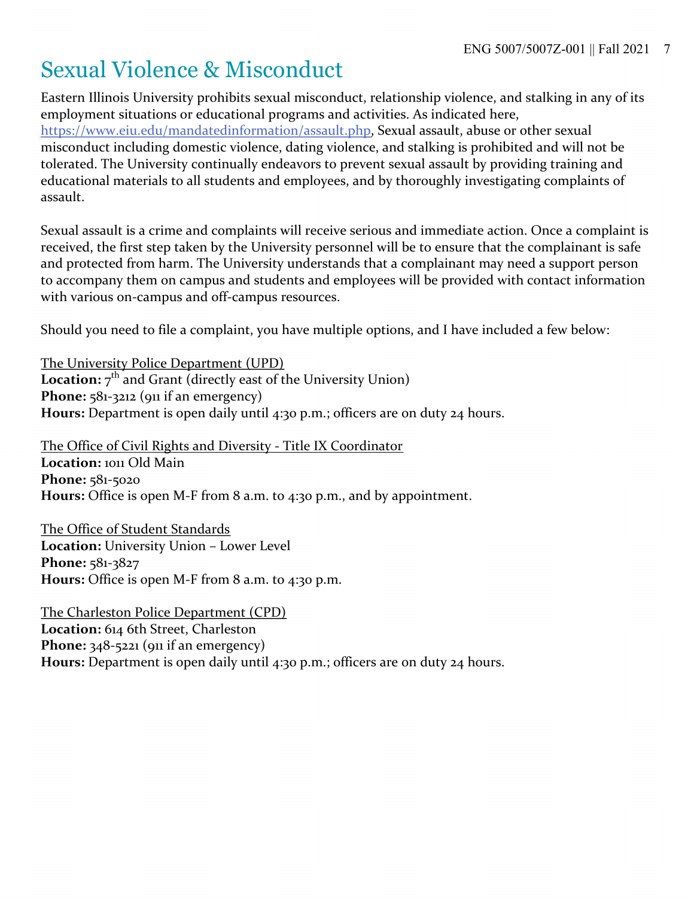## Sexual Violence & Misconduct

Eastern Illinois University prohibits sexual misconduct, relationship violence, and stalking in any of its employment situations or educational programs and activities. As indicated here, https://www.eiu.edu/mandatedinformation/assault.php, Sexual assault, abuse or other sexual misconduct including domestic violence, dating violence, and stalking is prohibited and will not be tolerated. The University continually endeavors to prevent sexual assault by providing training and educational materials to all students and employees, and by thoroughly investigating complaints of assault.

Sexual assault is a crime and complaints will receive serious and immediate action. Once a complaint is received, the first step taken by the University personnel will be to ensure that the complainant is safe and protected from harm. The University understands that a complainant may need a support person to accompany them on campus and students and employees will be provided with contact information with various on-campus and off-campus resources.

Should you need to file a complaint, you have multiple options, and I have included a few below:

The University Police Department (UPD) **Location:**  $7^{th}$  and Grant (directly east of the University Union) Phone: 581-3212 (911 if an emergency) **Hours:** Department is open daily until 4:30 p.m.; officers are on duty 24 hours.

The Office of Civil Rights and Diversity - Title IX Coordinator **Location:** 1011 Old Main **Phone:** 581-5020 **Hours:** Office is open M-F from 8 a.m. to 4:30 p.m., and by appointment.

The Office of Student Standards **Location:** University Union – Lower Level **Phone:** 581-3827 **Hours:** Office is open M-F from 8 a.m. to 4:30 p.m.

The Charleston Police Department (CPD) **Location:** 614 6th Street, Charleston **Phone:** 348-5221 (911 if an emergency) **Hours:** Department is open daily until 4:30 p.m.; officers are on duty 24 hours.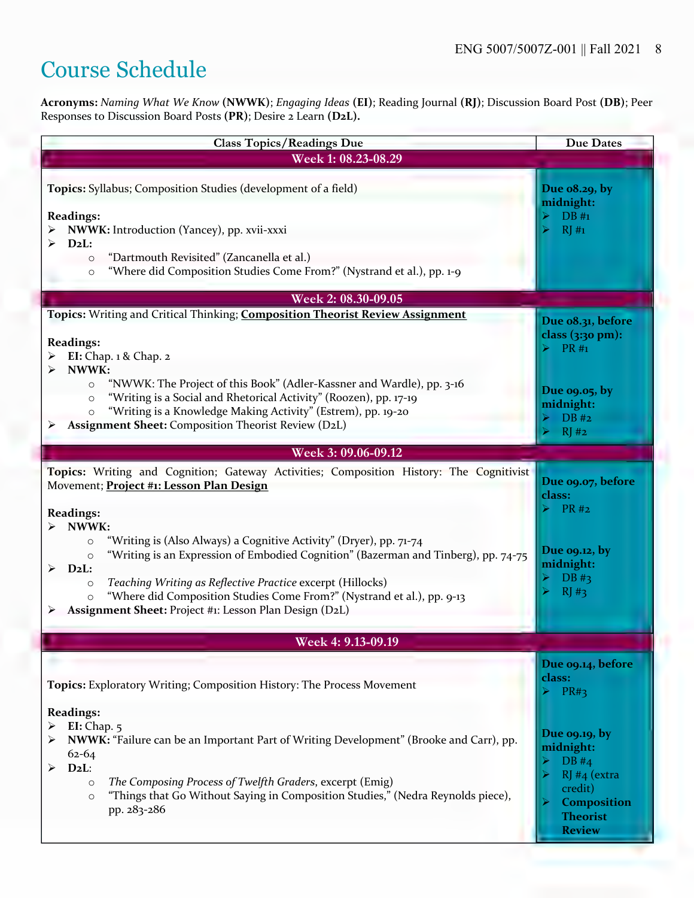### Course Schedule

**Acronyms:** *Naming What We Know* **(NWWK)**; *Engaging Ideas* **(EI)**; Reading Journal **(RJ)**; Discussion Board Post **(DB)**; Peer Responses to Discussion Board Posts **(PR)**; Desire 2 Learn **(D2L).** 

| <b>Class Topics/Readings Due</b>                                                                                                                                                                                                                                                                                                                                                                                                 | <b>Due Dates</b>                                                                                                  |  |  |
|----------------------------------------------------------------------------------------------------------------------------------------------------------------------------------------------------------------------------------------------------------------------------------------------------------------------------------------------------------------------------------------------------------------------------------|-------------------------------------------------------------------------------------------------------------------|--|--|
| Week 1: 08.23-08.29                                                                                                                                                                                                                                                                                                                                                                                                              |                                                                                                                   |  |  |
| Topics: Syllabus; Composition Studies (development of a field)                                                                                                                                                                                                                                                                                                                                                                   | Due o8.29, by<br>midnight:                                                                                        |  |  |
| <b>Readings:</b><br>NWWK: Introduction (Yancey), pp. xvii-xxxi<br>$D_2L$ :                                                                                                                                                                                                                                                                                                                                                       | $DB#_1$<br>RI#1                                                                                                   |  |  |
| "Dartmouth Revisited" (Zancanella et al.)<br>$\circ$<br>"Where did Composition Studies Come From?" (Nystrand et al.), pp. 1-9<br>$\circ$                                                                                                                                                                                                                                                                                         |                                                                                                                   |  |  |
| Week 2: 08.30-09.05                                                                                                                                                                                                                                                                                                                                                                                                              |                                                                                                                   |  |  |
| Topics: Writing and Critical Thinking; Composition Theorist Review Assignment                                                                                                                                                                                                                                                                                                                                                    | Due 08.31, before                                                                                                 |  |  |
| <b>Readings:</b><br>EI: Chap. $1 \&$ Chap. $2$                                                                                                                                                                                                                                                                                                                                                                                   | class $(3:30 \text{ pm})$ :<br>$\triangleright$ PR#1                                                              |  |  |
| NWWK:<br>"NWWK: The Project of this Book" (Adler-Kassner and Wardle), pp. 3-16<br>$\circ$<br>"Writing is a Social and Rhetorical Activity" (Roozen), pp. 17-19<br>$\circ$<br>"Writing is a Knowledge Making Activity" (Estrem), pp. 19-20<br>$\circ$<br><b>Assignment Sheet: Composition Theorist Review (D2L)</b>                                                                                                               | Due 09.05, by<br>midnight:<br>DB#2<br>RJ#2<br>⊳                                                                   |  |  |
| Week 3: 09.06-09.12                                                                                                                                                                                                                                                                                                                                                                                                              |                                                                                                                   |  |  |
| Topics: Writing and Cognition; Gateway Activities; Composition History: The Cognitivist<br>Movement; Project #1: Lesson Plan Design<br><b>Readings:</b>                                                                                                                                                                                                                                                                          | Due 09.07, before<br>class:<br>PR#2                                                                               |  |  |
| NWWK:<br>"Writing is (Also Always) a Cognitive Activity" (Dryer), pp. 71-74<br>$\circ$<br>"Writing is an Expression of Embodied Cognition" (Bazerman and Tinberg), pp. 74-75<br>$\circ$<br>$D_2L$ :<br>➤<br>Teaching Writing as Reflective Practice excerpt (Hillocks)<br>$\circ$<br>"Where did Composition Studies Come From?" (Nystrand et al.), pp. 9-13<br>$\circ$<br>Assignment Sheet: Project #1: Lesson Plan Design (D2L) | Due 09.12, by<br>midnight:<br>$DB \#3$<br>RJ#3                                                                    |  |  |
| Week 4: 9.13-09.19                                                                                                                                                                                                                                                                                                                                                                                                               |                                                                                                                   |  |  |
| Topics: Exploratory Writing; Composition History: The Process Movement                                                                                                                                                                                                                                                                                                                                                           | Due 09.14, before<br>class:<br>PR#3                                                                               |  |  |
| <b>Readings:</b><br>EI: Chap. $5$<br>NWWK: "Failure can be an Important Part of Writing Development" (Brooke and Carr), pp.<br>$62 - 64$<br>$D_2L$ :<br>➤<br>The Composing Process of Twelfth Graders, excerpt (Emig)<br>$\circ$<br>"Things that Go Without Saying in Composition Studies," (Nedra Reynolds piece),<br>$\circ$<br>pp. 283-286                                                                                    | Due 09.19, by<br>midnight:<br>DB#4<br>$RJ#4$ (extra<br>credit)<br>Composition<br><b>Theorist</b><br><b>Review</b> |  |  |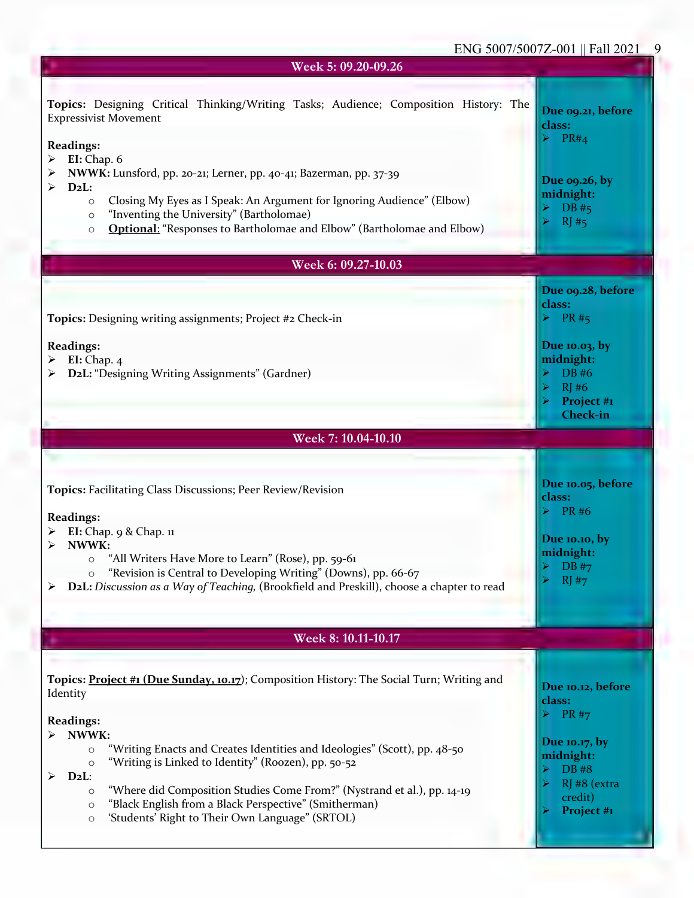| Week 5: 09.20-09.26                                                                                                                                                                                                                                                                                                                                                                                                                                                                                                                   |                                                                                                                                               |  |  |  |
|---------------------------------------------------------------------------------------------------------------------------------------------------------------------------------------------------------------------------------------------------------------------------------------------------------------------------------------------------------------------------------------------------------------------------------------------------------------------------------------------------------------------------------------|-----------------------------------------------------------------------------------------------------------------------------------------------|--|--|--|
| Topics: Designing Critical Thinking/Writing Tasks; Audience; Composition History: The<br><b>Expressivist Movement</b><br><b>Readings:</b><br><b>EI:</b> Chap. 6<br>➤<br>NWWK: Lunsford, pp. 20-21; Lerner, pp. 40-41; Bazerman, pp. 37-39<br>$D_2L$ :<br>➤<br>Closing My Eyes as I Speak: An Argument for Ignoring Audience" (Elbow)<br>$\circ$<br>"Inventing the University" (Bartholomae)<br>$\circ$<br><b>Optional:</b> "Responses to Bartholomae and Elbow" (Bartholomae and Elbow)<br>$\circ$                                    | Due 09.21, before<br>class:<br>$\triangleright$ PR#4<br>Due 09.26, by<br>midnight:<br>DB#5<br>RI#5                                            |  |  |  |
| Week 6: 09.27-10.03                                                                                                                                                                                                                                                                                                                                                                                                                                                                                                                   |                                                                                                                                               |  |  |  |
| Topics: Designing writing assignments; Project #2 Check-in<br><b>Readings:</b><br>EI: Chap. $4$<br>D2L: "Designing Writing Assignments" (Gardner)                                                                                                                                                                                                                                                                                                                                                                                     | Due 09.28, before<br>class:<br>$\triangleright$ PR#5<br>Due 10.03, by<br>midnight:<br>DB #6<br>RJ#6<br>Project #1<br><b>Check-in</b>          |  |  |  |
| Week 7: 10.04-10.10                                                                                                                                                                                                                                                                                                                                                                                                                                                                                                                   |                                                                                                                                               |  |  |  |
| <b>Topics: Facilitating Class Discussions; Peer Review/Revision</b><br><b>Readings:</b><br>EI: Chap. 9 & Chap. 11<br>NWWK:<br>"All Writers Have More to Learn" (Rose), pp. 59-61<br>$\circ$<br>"Revision is Central to Developing Writing" (Downs), pp. 66-67<br>$\circ$<br>D2L: Discussion as a Way of Teaching, (Brookfield and Preskill), choose a chapter to read<br>➤                                                                                                                                                            | Due 10.05, before<br>class:<br>$\triangleright$ PR#6<br>Due 10.10, by<br>midnight:<br>$\triangleright$ DB #7<br>$\blacktriangleright$<br>RJ#7 |  |  |  |
| Week 8: 10.11-10.17                                                                                                                                                                                                                                                                                                                                                                                                                                                                                                                   |                                                                                                                                               |  |  |  |
| Topics: Project #1 (Due Sunday, 10.17); Composition History: The Social Turn; Writing and<br>Identity<br><b>Readings:</b><br>NWWK:<br>"Writing Enacts and Creates Identities and Ideologies" (Scott), pp. 48-50<br>$\circ$<br>"Writing is Linked to Identity" (Roozen), pp. 50-52<br>$\circ$<br>$D_2L$ :<br>⋗<br>"Where did Composition Studies Come From?" (Nystrand et al.), pp. 14-19<br>$\circ$<br>"Black English from a Black Perspective" (Smitherman)<br>$\circ$<br>'Students' Right to Their Own Language" (SRTOL)<br>$\circ$ | Due 10.12, before<br>class:<br>$\triangleright$ PR#7<br>Due 10.17, by<br>midnight:<br>DB #8<br>RJ #8 (extra<br>credit)<br>Project #1          |  |  |  |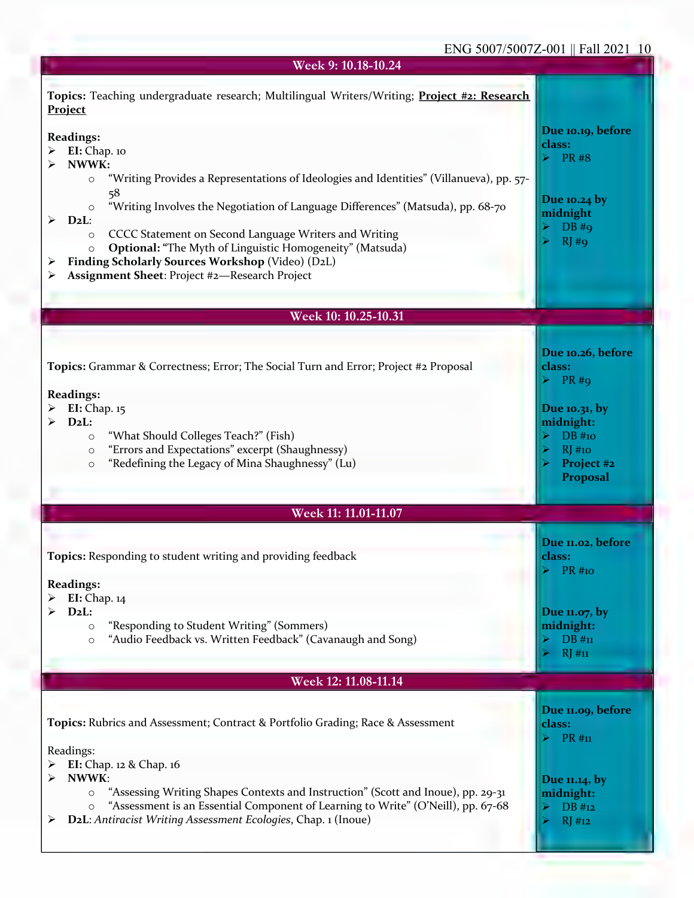#### ENG 5007/5007Z-001 || Fall 2021 10

| Week 9: 10.18-10.24                                                                                                                                                                                                                                                                                                                      |                                                                                                                       |
|------------------------------------------------------------------------------------------------------------------------------------------------------------------------------------------------------------------------------------------------------------------------------------------------------------------------------------------|-----------------------------------------------------------------------------------------------------------------------|
| Topics: Teaching undergraduate research; Multilingual Writers/Writing; Project #2: Research<br>Project                                                                                                                                                                                                                                   |                                                                                                                       |
| <b>Readings:</b><br>EI: Chap. 10<br>NWWK:<br>"Writing Provides a Representations of Ideologies and Identities" (Villanueva), pp. 57-<br>$\circ$<br>58<br>"Writing Involves the Negotiation of Language Differences" (Matsuda), pp. 68-70<br>$\circ$<br>$D_2L$ :<br>➤<br>CCCC Statement on Second Language Writers and Writing<br>$\circ$ | Due 10.19, before<br>class:<br><b>PR#8</b><br>Due 10.24 by<br>midnight<br>$DB$ #9<br>RJ#q                             |
| <b>Optional: "The Myth of Linguistic Homogeneity" (Matsuda)</b><br>$\circ$<br>Finding Scholarly Sources Workshop (Video) (D2L)<br>Assignment Sheet: Project #2-Research Project<br>➤                                                                                                                                                     |                                                                                                                       |
|                                                                                                                                                                                                                                                                                                                                          |                                                                                                                       |
| Week 10: 10.25-10.31                                                                                                                                                                                                                                                                                                                     |                                                                                                                       |
| <b>Topics:</b> Grammar & Correctness; Error; The Social Turn and Error; Project #2 Proposal<br><b>Readings:</b><br>EI: Chap. 15<br>$D_2L$ :<br>"What Should Colleges Teach?" (Fish)<br>$\circ$<br>"Errors and Expectations" excerpt (Shaughnessy)<br>$\circ$<br>"Redefining the Legacy of Mina Shaughnessy" (Lu)<br>$\circ$              | Due 10.26, before<br>class:<br>$PR \#Q$<br>Due 10.31, by<br>midnight:<br>DB #10<br>$RJ$ #10<br>Project #2<br>Proposal |
| Week 11: 11.01-11.07                                                                                                                                                                                                                                                                                                                     |                                                                                                                       |
|                                                                                                                                                                                                                                                                                                                                          |                                                                                                                       |
| Topics: Responding to student writing and providing feedback<br><b>Readings:</b>                                                                                                                                                                                                                                                         | Due 11.02, before<br>class:<br><b>PR</b> #10                                                                          |
| EI: Chap. 14<br>$D_2L$ :<br>"Responding to Student Writing" (Sommers)<br>$\circ$<br>"Audio Feedback vs. Written Feedback" (Cavanaugh and Song)<br>$\circ$                                                                                                                                                                                | Due 11.07, by<br>midnight:<br>DB#n<br>RJ#11                                                                           |
| Week 12: 11.08-11.14                                                                                                                                                                                                                                                                                                                     |                                                                                                                       |
| Topics: Rubrics and Assessment; Contract & Portfolio Grading; Race & Assessment<br>Readings:                                                                                                                                                                                                                                             | Due 11.09, before<br>class:<br>PR #11                                                                                 |
| EI: Chap. 12 & Chap. 16<br>NWWK:<br>≻<br>"Assessing Writing Shapes Contexts and Instruction" (Scott and Inoue), pp. 29-31<br>$\circ$<br>"Assessment is an Essential Component of Learning to Write" (O'Neill), pp. 67-68<br>$\circ$<br>D2L: Antiracist Writing Assessment Ecologies, Chap. 1 (Inoue)<br>➤                                | Due 11.14, by<br>midnight:<br>DB #12<br>RJ#12                                                                         |